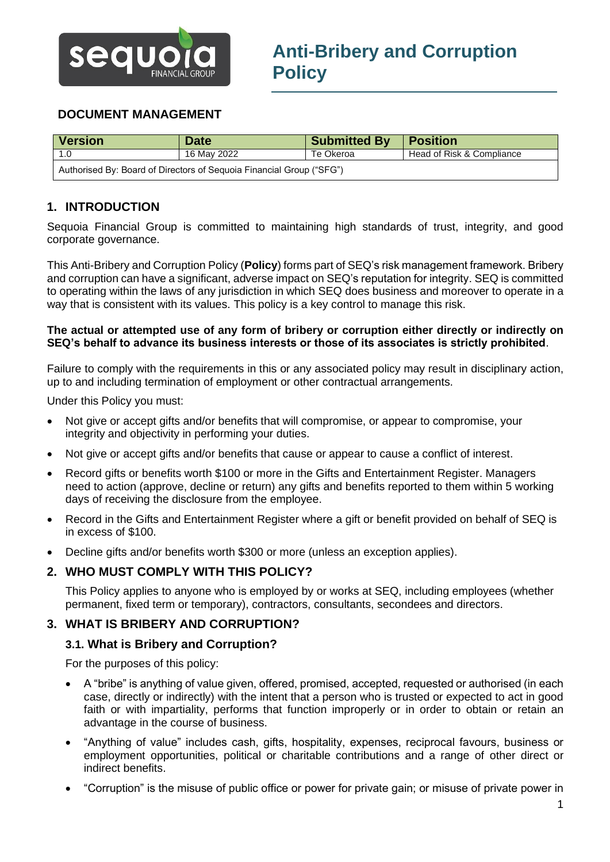

# **DOCUMENT MANAGEMENT**

| Version                                                              | <b>Date</b> | Submitted By | <b>Position</b>           |
|----------------------------------------------------------------------|-------------|--------------|---------------------------|
| 1.0                                                                  | 16 May 2022 | Te Okeroa    | Head of Risk & Compliance |
| Authorised By: Board of Directors of Sequoia Financial Group ("SFG") |             |              |                           |

# **1. INTRODUCTION**

Sequoia Financial Group is committed to maintaining high standards of trust, integrity, and good corporate governance.

This Anti-Bribery and Corruption Policy (**Policy**) forms part of SEQ's risk management framework. Bribery and corruption can have a significant, adverse impact on SEQ's reputation for integrity. SEQ is committed to operating within the laws of any jurisdiction in which SEQ does business and moreover to operate in a way that is consistent with its values. This policy is a key control to manage this risk.

#### **The actual or attempted use of any form of bribery or corruption either directly or indirectly on SEQ's behalf to advance its business interests or those of its associates is strictly prohibited**.

Failure to comply with the requirements in this or any associated policy may result in disciplinary action, up to and including termination of employment or other contractual arrangements.

Under this Policy you must:

- Not give or accept gifts and/or benefits that will compromise, or appear to compromise, your integrity and objectivity in performing your duties.
- Not give or accept gifts and/or benefits that cause or appear to cause a conflict of interest.
- Record gifts or benefits worth \$100 or more in the Gifts and Entertainment Register. Managers need to action (approve, decline or return) any gifts and benefits reported to them within 5 working days of receiving the disclosure from the employee.
- Record in the Gifts and Entertainment Register where a gift or benefit provided on behalf of SEQ is in excess of \$100.
- Decline gifts and/or benefits worth \$300 or more (unless an exception applies).

### **2. WHO MUST COMPLY WITH THIS POLICY?**

This Policy applies to anyone who is employed by or works at SEQ, including employees (whether permanent, fixed term or temporary), contractors, consultants, secondees and directors.

### **3. WHAT IS BRIBERY AND CORRUPTION?**

### **3.1. What is Bribery and Corruption?**

For the purposes of this policy:

- A "bribe" is anything of value given, offered, promised, accepted, requested or authorised (in each case, directly or indirectly) with the intent that a person who is trusted or expected to act in good faith or with impartiality, performs that function improperly or in order to obtain or retain an advantage in the course of business.
- "Anything of value" includes cash, gifts, hospitality, expenses, reciprocal favours, business or employment opportunities, political or charitable contributions and a range of other direct or indirect benefits.
- "Corruption" is the misuse of public office or power for private gain; or misuse of private power in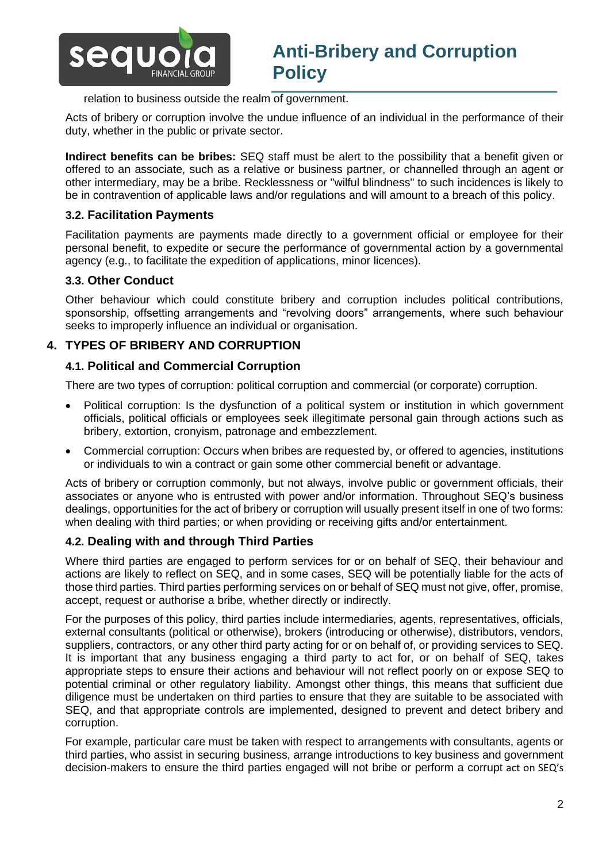

### relation to business outside the realm of government.

Acts of bribery or corruption involve the undue influence of an individual in the performance of their duty, whether in the public or private sector.

**Indirect benefits can be bribes:** SEQ staff must be alert to the possibility that a benefit given or offered to an associate, such as a relative or business partner, or channelled through an agent or other intermediary, may be a bribe. Recklessness or "wilful blindness" to such incidences is likely to be in contravention of applicable laws and/or regulations and will amount to a breach of this policy.

## **3.2. Facilitation Payments**

Facilitation payments are payments made directly to a government official or employee for their personal benefit, to expedite or secure the performance of governmental action by a governmental agency (e.g., to facilitate the expedition of applications, minor licences).

## **3.3. Other Conduct**

Other behaviour which could constitute bribery and corruption includes political contributions, sponsorship, offsetting arrangements and "revolving doors" arrangements, where such behaviour seeks to improperly influence an individual or organisation.

## **4. TYPES OF BRIBERY AND CORRUPTION**

### **4.1. Political and Commercial Corruption**

There are two types of corruption: political corruption and commercial (or corporate) corruption.

- Political corruption: Is the dysfunction of a political system or institution in which government officials, political officials or employees seek illegitimate personal gain through actions such as bribery, extortion, cronyism, patronage and embezzlement.
- Commercial corruption: Occurs when bribes are requested by, or offered to agencies, institutions or individuals to win a contract or gain some other commercial benefit or advantage.

Acts of bribery or corruption commonly, but not always, involve public or government officials, their associates or anyone who is entrusted with power and/or information. Throughout SEQ's business dealings, opportunities for the act of bribery or corruption will usually present itself in one of two forms: when dealing with third parties; or when providing or receiving gifts and/or entertainment.

## **4.2. Dealing with and through Third Parties**

Where third parties are engaged to perform services for or on behalf of SEQ, their behaviour and actions are likely to reflect on SEQ, and in some cases, SEQ will be potentially liable for the acts of those third parties. Third parties performing services on or behalf of SEQ must not give, offer, promise, accept, request or authorise a bribe, whether directly or indirectly.

For the purposes of this policy, third parties include intermediaries, agents, representatives, officials, external consultants (political or otherwise), brokers (introducing or otherwise), distributors, vendors, suppliers, contractors, or any other third party acting for or on behalf of, or providing services to SEQ. It is important that any business engaging a third party to act for, or on behalf of SEQ, takes appropriate steps to ensure their actions and behaviour will not reflect poorly on or expose SEQ to potential criminal or other regulatory liability. Amongst other things, this means that sufficient due diligence must be undertaken on third parties to ensure that they are suitable to be associated with SEQ, and that appropriate controls are implemented, designed to prevent and detect bribery and corruption.

For example, particular care must be taken with respect to arrangements with consultants, agents or third parties, who assist in securing business, arrange introductions to key business and government decision-makers to ensure the third parties engaged will not bribe or perform a corrupt act on SEQ's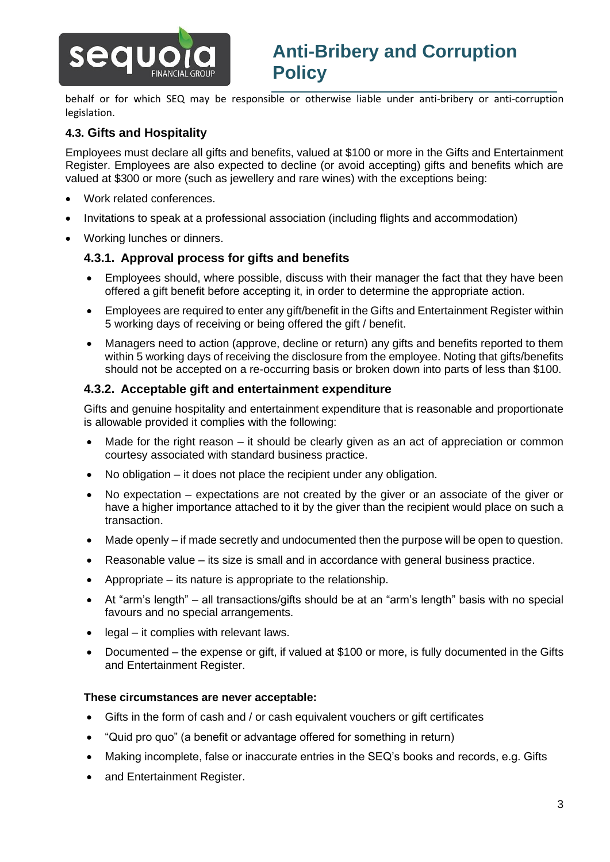

behalf or for which SEQ may be responsible or otherwise liable under anti-bribery or anti-corruption legislation.

# **4.3. Gifts and Hospitality**

Employees must declare all gifts and benefits, valued at \$100 or more in the Gifts and Entertainment Register. Employees are also expected to decline (or avoid accepting) gifts and benefits which are valued at \$300 or more (such as jewellery and rare wines) with the exceptions being:

- Work related conferences.
- Invitations to speak at a professional association (including flights and accommodation)
- Working lunches or dinners.

## **4.3.1. Approval process for gifts and benefits**

- Employees should, where possible, discuss with their manager the fact that they have been offered a gift benefit before accepting it, in order to determine the appropriate action.
- Employees are required to enter any gift/benefit in the Gifts and Entertainment Register within 5 working days of receiving or being offered the gift / benefit.
- Managers need to action (approve, decline or return) any gifts and benefits reported to them within 5 working days of receiving the disclosure from the employee. Noting that gifts/benefits should not be accepted on a re-occurring basis or broken down into parts of less than \$100.

### **4.3.2. Acceptable gift and entertainment expenditure**

Gifts and genuine hospitality and entertainment expenditure that is reasonable and proportionate is allowable provided it complies with the following:

- Made for the right reason it should be clearly given as an act of appreciation or common courtesy associated with standard business practice.
- No obligation it does not place the recipient under any obligation.
- No expectation expectations are not created by the giver or an associate of the giver or have a higher importance attached to it by the giver than the recipient would place on such a transaction.
- Made openly if made secretly and undocumented then the purpose will be open to question.
- Reasonable value its size is small and in accordance with general business practice.
- Appropriate its nature is appropriate to the relationship.
- At "arm's length" all transactions/gifts should be at an "arm's length" basis with no special favours and no special arrangements.
- legal it complies with relevant laws.
- Documented the expense or gift, if valued at \$100 or more, is fully documented in the Gifts and Entertainment Register.

### **These circumstances are never acceptable:**

- Gifts in the form of cash and / or cash equivalent vouchers or gift certificates
- "Quid pro quo" (a benefit or advantage offered for something in return)
- Making incomplete, false or inaccurate entries in the SEQ's books and records, e.g. Gifts
- and Entertainment Register.